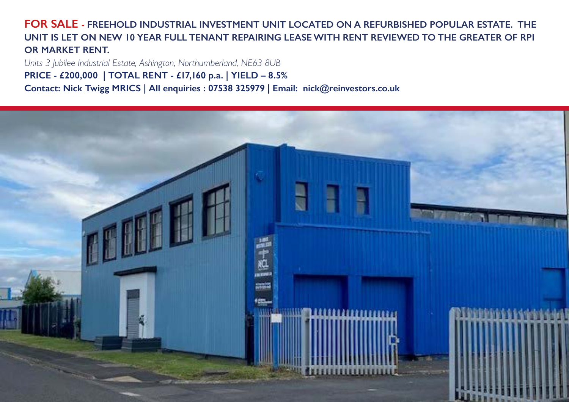**FOR SALE - FREEHOLD INDUSTRIAL INVESTMENT UNIT LOCATED ON A REFURBISHED POPULAR ESTATE. THE UNIT IS LET ON NEW 10 YEAR FULL TENANT REPAIRING LEASE WITH RENT REVIEWED TO THE GREATER OF RPI OR MARKET RENT.**

*Units 3 Jubilee Industrial Estate, Ashington, Northumberland, NE63 8UB* **PRICE - £200,000 | TOTAL RENT - £17,160 p.a. | YIELD – 8.5% Contact: Nick Twigg MRICS | All enquiries : 07538 325979 | Email: nick@reinvestors.co.uk**

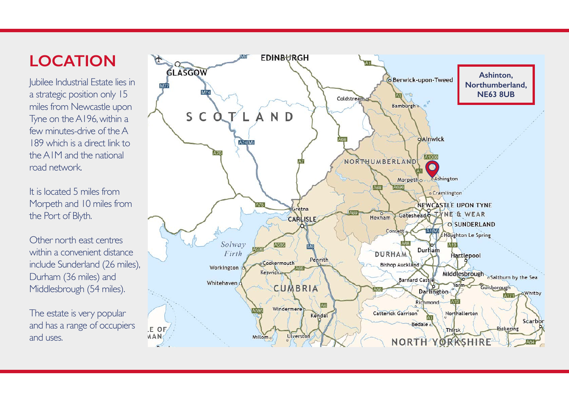### **LOCATION**

Jubilee Industrial Estate lies in a strategic position only 15 miles from Newcastle upon Tyne on the A196, within a few minutes-drive of the A 189 which is a direct link to the A1M and the national road network.

It is located 5 miles from Morpeth and 10 miles from the Port of Blyth.

Other north east centres within a convenient distance include Sunderland (26 miles), Durham (36 miles) and Middlesbrough (54 miles).

The estate is very popular and has a range of occupiers and uses.

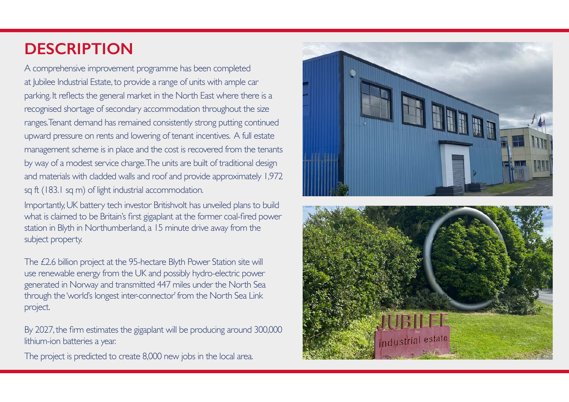### **DESCRIPTION**

A comprehensive improvement programme has been completed at Jubilee Industrial Estate, to provide a range of units with ample car parking. It reflects the general market in the North East where there is a recognised shortage of secondary accommodation throughout the size ranges. Tenant demand has remained consistently strong putting continued upward pressure on rents and lowering of tenant incentives. A full estate management scheme is in place and the cost is recovered from the tenants by way of a modest service charge. The units are built of traditional design and materials with cladded walls and roof and provide approximately 1,972 sq ft (183.1 sq m) of light industrial accommodation.

Importantly, UK battery tech investor Britishvolt has unveiled plans to build what is claimed to be Britain's first gigaplant at the former coal-fired power station in Blyth in Northumberland, a 15 minute drive away from the subject property.

The £2.6 billion project at the 95-hectare Blyth Power Station site will use renewable energy from the UK and possibly hydro-electric power generated in Norway and transmitted 447 miles under the North Sea through the 'world's longest inter-connector' from the North Sea Link project.

By 2027, the firm estimates the gigaplant will be producing around 300,000 lithium-ion batteries a year.

The project is predicted to create 8,000 new jobs in the local area.



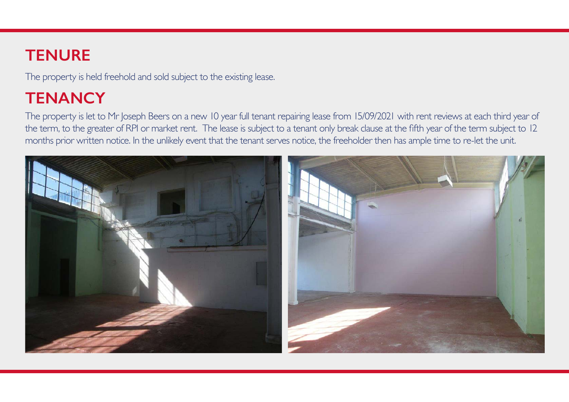#### **TENURE**

The property is held freehold and sold subject to the existing lease.

# **TENANCY**

The property is let to Mr Joseph Beers on a new 10 year full tenant repairing lease from 15/09/2021 with rent reviews at each third year of the term, to the greater of RPI or market rent. The lease is subject to a tenant only break clause at the fifth year of the term subject to 12 months prior written notice. In the unlikely event that the tenant serves notice, the freeholder then has ample time to re-let the unit.